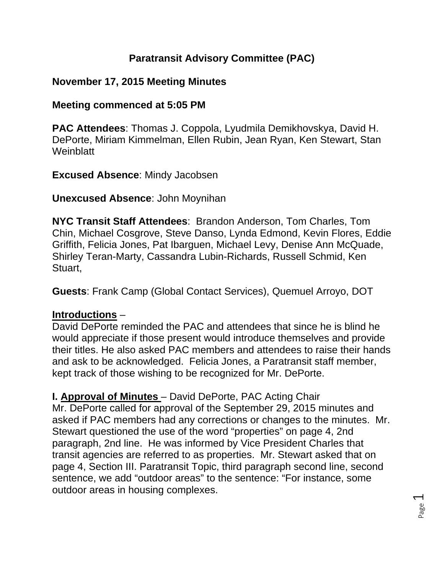## **Paratransit Advisory Committee (PAC)**

## **November 17, 2015 Meeting Minutes**

## **Meeting commenced at 5:05 PM**

**PAC Attendees**: Thomas J. Coppola, Lyudmila Demikhovskya, David H. DePorte, Miriam Kimmelman, Ellen Rubin, Jean Ryan, Ken Stewart, Stan **Weinblatt** 

**Excused Absence**: Mindy Jacobsen

#### **Unexcused Absence**: John Moynihan

**NYC Transit Staff Attendees**: Brandon Anderson, Tom Charles, Tom Chin, Michael Cosgrove, Steve Danso, Lynda Edmond, Kevin Flores, Eddie Griffith, Felicia Jones, Pat Ibarguen, Michael Levy, Denise Ann McQuade, Shirley Teran-Marty, Cassandra Lubin-Richards, Russell Schmid, Ken Stuart,

**Guests**: Frank Camp (Global Contact Services), Quemuel Arroyo, DOT

#### **Introductions** –

David DePorte reminded the PAC and attendees that since he is blind he would appreciate if those present would introduce themselves and provide their titles. He also asked PAC members and attendees to raise their hands and ask to be acknowledged. Felicia Jones, a Paratransit staff member, kept track of those wishing to be recognized for Mr. DePorte.

**I. Approval of Minutes** – David DePorte, PAC Acting Chair Mr. DePorte called for approval of the September 29, 2015 minutes and asked if PAC members had any corrections or changes to the minutes. Mr. Stewart questioned the use of the word "properties" on page 4, 2nd paragraph, 2nd line. He was informed by Vice President Charles that transit agencies are referred to as properties. Mr. Stewart asked that on page 4, Section III. Paratransit Topic, third paragraph second line, second sentence, we add "outdoor areas" to the sentence: "For instance, some outdoor areas in housing complexes.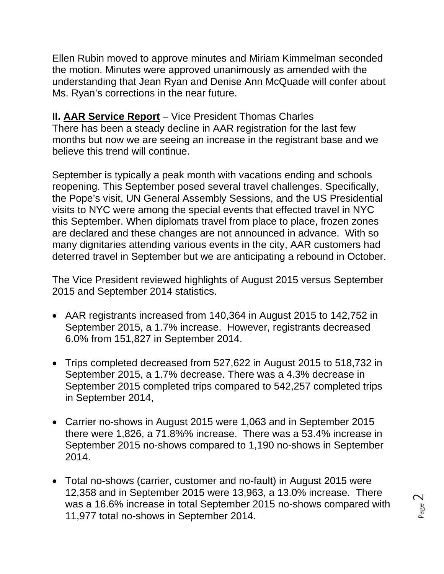Ellen Rubin moved to approve minutes and Miriam Kimmelman seconded the motion. Minutes were approved unanimously as amended with the understanding that Jean Ryan and Denise Ann McQuade will confer about Ms. Ryan's corrections in the near future.

# **II. AAR Service Report** – Vice President Thomas Charles

There has been a steady decline in AAR registration for the last few months but now we are seeing an increase in the registrant base and we believe this trend will continue.

September is typically a peak month with vacations ending and schools reopening. This September posed several travel challenges. Specifically, the Pope's visit, UN General Assembly Sessions, and the US Presidential visits to NYC were among the special events that effected travel in NYC this September. When diplomats travel from place to place, frozen zones are declared and these changes are not announced in advance. With so many dignitaries attending various events in the city, AAR customers had deterred travel in September but we are anticipating a rebound in October.

The Vice President reviewed highlights of August 2015 versus September 2015 and September 2014 statistics.

- AAR registrants increased from 140,364 in August 2015 to 142,752 in September 2015, a 1.7% increase. However, registrants decreased 6.0% from 151,827 in September 2014.
- Trips completed decreased from 527,622 in August 2015 to 518,732 in September 2015, a 1.7% decrease. There was a 4.3% decrease in September 2015 completed trips compared to 542,257 completed trips in September 2014,
- Carrier no-shows in August 2015 were 1,063 and in September 2015 there were 1,826, a 71.8%% increase. There was a 53.4% increase in September 2015 no-shows compared to 1,190 no-shows in September 2014.
- Total no-shows (carrier, customer and no-fault) in August 2015 were 12,358 and in September 2015 were 13,963, a 13.0% increase. There was a 16.6% increase in total September 2015 no-shows compared with 11,977 total no-shows in September 2014.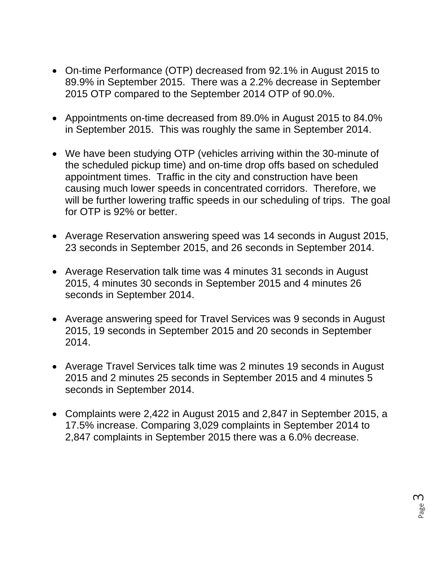- On-time Performance (OTP) decreased from 92.1% in August 2015 to 89.9% in September 2015. There was a 2.2% decrease in September 2015 OTP compared to the September 2014 OTP of 90.0%.
- Appointments on-time decreased from 89.0% in August 2015 to 84.0% in September 2015. This was roughly the same in September 2014.
- We have been studying OTP (vehicles arriving within the 30-minute of the scheduled pickup time) and on-time drop offs based on scheduled appointment times. Traffic in the city and construction have been causing much lower speeds in concentrated corridors. Therefore, we will be further lowering traffic speeds in our scheduling of trips. The goal for OTP is 92% or better.
- Average Reservation answering speed was 14 seconds in August 2015, 23 seconds in September 2015, and 26 seconds in September 2014.
- Average Reservation talk time was 4 minutes 31 seconds in August 2015, 4 minutes 30 seconds in September 2015 and 4 minutes 26 seconds in September 2014.
- Average answering speed for Travel Services was 9 seconds in August 2015, 19 seconds in September 2015 and 20 seconds in September 2014.
- Average Travel Services talk time was 2 minutes 19 seconds in August 2015 and 2 minutes 25 seconds in September 2015 and 4 minutes 5 seconds in September 2014.
- Complaints were 2,422 in August 2015 and 2,847 in September 2015, a 17.5% increase. Comparing 3,029 complaints in September 2014 to 2,847 complaints in September 2015 there was a 6.0% decrease.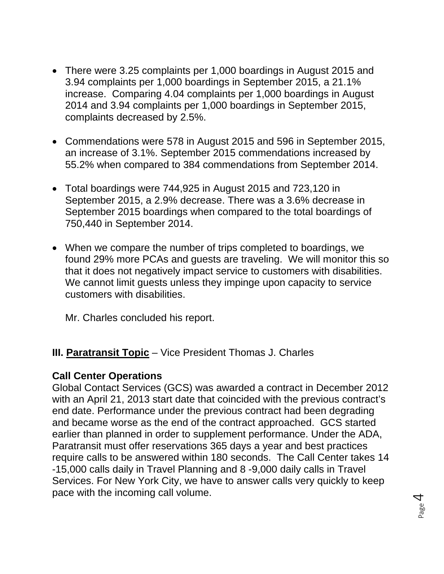- There were 3.25 complaints per 1,000 boardings in August 2015 and 3.94 complaints per 1,000 boardings in September 2015, a 21.1% increase. Comparing 4.04 complaints per 1,000 boardings in August 2014 and 3.94 complaints per 1,000 boardings in September 2015, complaints decreased by 2.5%.
- Commendations were 578 in August 2015 and 596 in September 2015, an increase of 3.1%. September 2015 commendations increased by 55.2% when compared to 384 commendations from September 2014.
- Total boardings were 744,925 in August 2015 and 723,120 in September 2015, a 2.9% decrease. There was a 3.6% decrease in September 2015 boardings when compared to the total boardings of 750,440 in September 2014.
- When we compare the number of trips completed to boardings, we found 29% more PCAs and guests are traveling. We will monitor this so that it does not negatively impact service to customers with disabilities. We cannot limit guests unless they impinge upon capacity to service customers with disabilities.

Mr. Charles concluded his report.

#### **III. Paratransit Topic** – Vice President Thomas J. Charles

#### **Call Center Operations**

Global Contact Services (GCS) was awarded a contract in December 2012 with an April 21, 2013 start date that coincided with the previous contract's end date. Performance under the previous contract had been degrading and became worse as the end of the contract approached. GCS started earlier than planned in order to supplement performance. Under the ADA, Paratransit must offer reservations 365 days a year and best practices require calls to be answered within 180 seconds. The Call Center takes 14 -15,000 calls daily in Travel Planning and 8 -9,000 daily calls in Travel Services. For New York City, we have to answer calls very quickly to keep pace with the incoming call volume.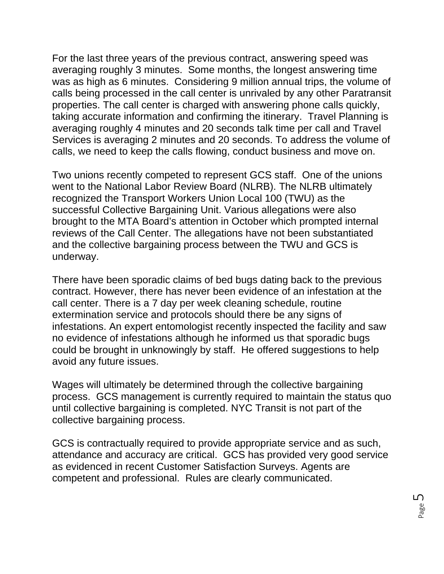For the last three years of the previous contract, answering speed was averaging roughly 3 minutes. Some months, the longest answering time was as high as 6 minutes. Considering 9 million annual trips, the volume of calls being processed in the call center is unrivaled by any other Paratransit properties. The call center is charged with answering phone calls quickly, taking accurate information and confirming the itinerary. Travel Planning is averaging roughly 4 minutes and 20 seconds talk time per call and Travel Services is averaging 2 minutes and 20 seconds. To address the volume of calls, we need to keep the calls flowing, conduct business and move on.

Two unions recently competed to represent GCS staff. One of the unions went to the National Labor Review Board (NLRB). The NLRB ultimately recognized the Transport Workers Union Local 100 (TWU) as the successful Collective Bargaining Unit. Various allegations were also brought to the MTA Board's attention in October which prompted internal reviews of the Call Center. The allegations have not been substantiated and the collective bargaining process between the TWU and GCS is underway.

There have been sporadic claims of bed bugs dating back to the previous contract. However, there has never been evidence of an infestation at the call center. There is a 7 day per week cleaning schedule, routine extermination service and protocols should there be any signs of infestations. An expert entomologist recently inspected the facility and saw no evidence of infestations although he informed us that sporadic bugs could be brought in unknowingly by staff. He offered suggestions to help avoid any future issues.

Wages will ultimately be determined through the collective bargaining process. GCS management is currently required to maintain the status quo until collective bargaining is completed. NYC Transit is not part of the collective bargaining process.

GCS is contractually required to provide appropriate service and as such, attendance and accuracy are critical. GCS has provided very good service as evidenced in recent Customer Satisfaction Surveys. Agents are competent and professional. Rules are clearly communicated.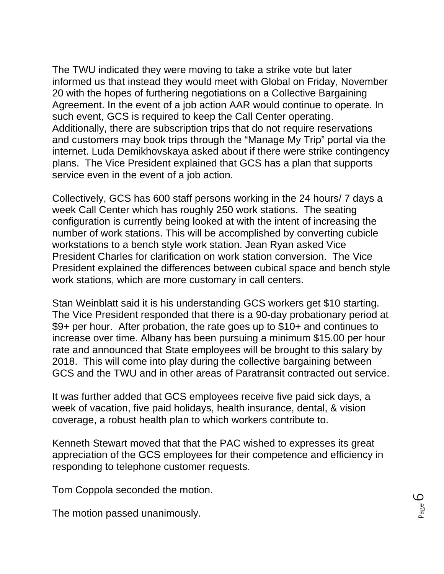The TWU indicated they were moving to take a strike vote but later informed us that instead they would meet with Global on Friday, November 20 with the hopes of furthering negotiations on a Collective Bargaining Agreement. In the event of a job action AAR would continue to operate. In such event, GCS is required to keep the Call Center operating. Additionally, there are subscription trips that do not require reservations and customers may book trips through the "Manage My Trip" portal via the internet. Luda Demikhovskaya asked about if there were strike contingency plans. The Vice President explained that GCS has a plan that supports service even in the event of a job action.

Collectively, GCS has 600 staff persons working in the 24 hours/ 7 days a week Call Center which has roughly 250 work stations. The seating configuration is currently being looked at with the intent of increasing the number of work stations. This will be accomplished by converting cubicle workstations to a bench style work station. Jean Ryan asked Vice President Charles for clarification on work station conversion. The Vice President explained the differences between cubical space and bench style work stations, which are more customary in call centers.

Stan Weinblatt said it is his understanding GCS workers get \$10 starting. The Vice President responded that there is a 90-day probationary period at \$9+ per hour. After probation, the rate goes up to \$10+ and continues to increase over time. Albany has been pursuing a minimum \$15.00 per hour rate and announced that State employees will be brought to this salary by 2018. This will come into play during the collective bargaining between GCS and the TWU and in other areas of Paratransit contracted out service.

It was further added that GCS employees receive five paid sick days, a week of vacation, five paid holidays, health insurance, dental, & vision coverage, a robust health plan to which workers contribute to.

Kenneth Stewart moved that that the PAC wished to expresses its great appreciation of the GCS employees for their competence and efficiency in responding to telephone customer requests.

Tom Coppola seconded the motion.

The motion passed unanimously.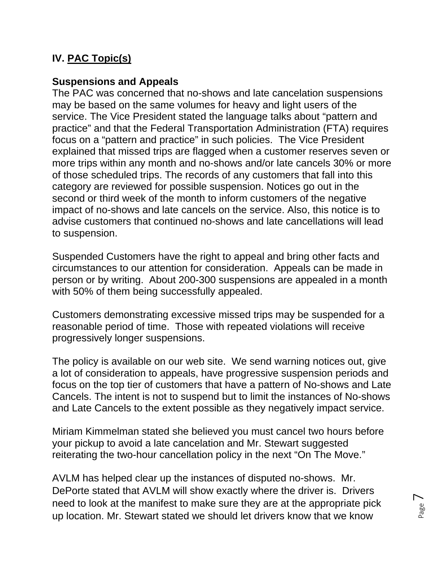# **IV. PAC Topic(s)**

## **Suspensions and Appeals**

The PAC was concerned that no-shows and late cancelation suspensions may be based on the same volumes for heavy and light users of the service. The Vice President stated the language talks about "pattern and practice" and that the Federal Transportation Administration (FTA) requires focus on a "pattern and practice" in such policies. The Vice President explained that missed trips are flagged when a customer reserves seven or more trips within any month and no-shows and/or late cancels 30% or more of those scheduled trips. The records of any customers that fall into this category are reviewed for possible suspension. Notices go out in the second or third week of the month to inform customers of the negative impact of no-shows and late cancels on the service. Also, this notice is to advise customers that continued no-shows and late cancellations will lead to suspension.

Suspended Customers have the right to appeal and bring other facts and circumstances to our attention for consideration. Appeals can be made in person or by writing. About 200-300 suspensions are appealed in a month with 50% of them being successfully appealed.

Customers demonstrating excessive missed trips may be suspended for a reasonable period of time. Those with repeated violations will receive progressively longer suspensions.

The policy is available on our web site. We send warning notices out, give a lot of consideration to appeals, have progressive suspension periods and focus on the top tier of customers that have a pattern of No-shows and Late Cancels. The intent is not to suspend but to limit the instances of No-shows and Late Cancels to the extent possible as they negatively impact service.

Miriam Kimmelman stated she believed you must cancel two hours before your pickup to avoid a late cancelation and Mr. Stewart suggested reiterating the two-hour cancellation policy in the next "On The Move."

AVLM has helped clear up the instances of disputed no-shows. Mr. DePorte stated that AVLM will show exactly where the driver is. Drivers need to look at the manifest to make sure they are at the appropriate pick up location. Mr. Stewart stated we should let drivers know that we know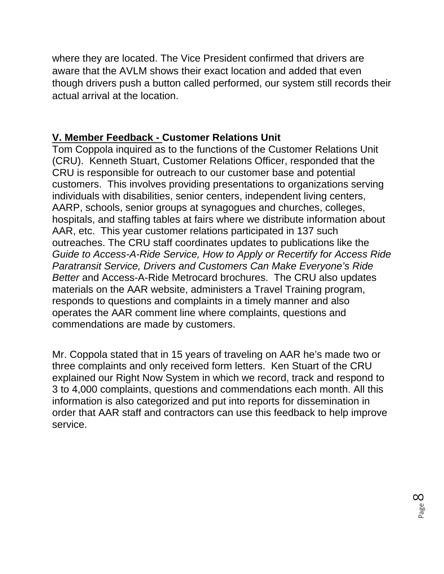where they are located. The Vice President confirmed that drivers are aware that the AVLM shows their exact location and added that even though drivers push a button called performed, our system still records their actual arrival at the location.

## **V. Member Feedback - Customer Relations Unit**

Tom Coppola inquired as to the functions of the Customer Relations Unit (CRU). Kenneth Stuart, Customer Relations Officer, responded that the CRU is responsible for outreach to our customer base and potential customers. This involves providing presentations to organizations serving individuals with disabilities, senior centers, independent living centers, AARP, schools, senior groups at synagogues and churches, colleges, hospitals, and staffing tables at fairs where we distribute information about AAR, etc. This year customer relations participated in 137 such outreaches. The CRU staff coordinates updates to publications like the *Guide to Access-A-Ride Service, How to Apply or Recertify for Access Ride Paratransit Service, Drivers and Customers Can Make Everyone's Ride Better* and Access-A-Ride Metrocard brochures. The CRU also updates materials on the AAR website, administers a Travel Training program, responds to questions and complaints in a timely manner and also operates the AAR comment line where complaints, questions and commendations are made by customers.

Mr. Coppola stated that in 15 years of traveling on AAR he's made two or three complaints and only received form letters. Ken Stuart of the CRU explained our Right Now System in which we record, track and respond to 3 to 4,000 complaints, questions and commendations each month. All this information is also categorized and put into reports for dissemination in order that AAR staff and contractors can use this feedback to help improve service.